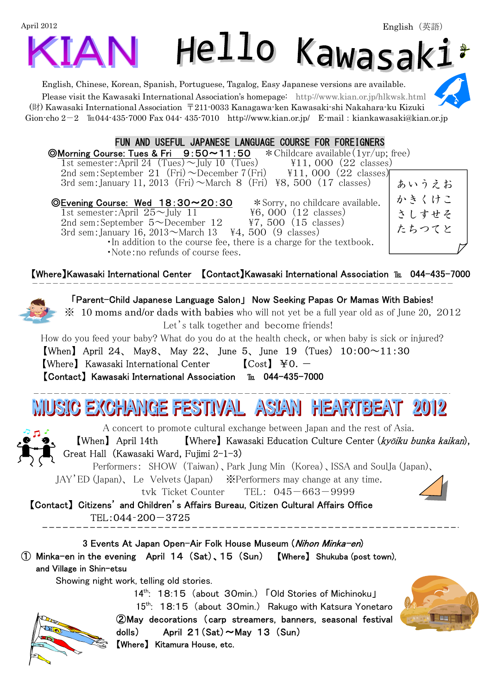# April 2012 Hello Kawasak:

English, Chinese, Korean, Spanish, Portuguese, Tagalog, Easy Japanese versions are available. Please visit the Kawasaki International Association's homepage: http://www.kian.or.jp/hlkwsk.html (財) Kawasaki International Association 〒211-0033 Kanagawa-ken Kawasaki-shi Nakahara-ku Kizuki Gion-cho  $2-2$  
Eu044-435-7000 Fax 044-435-7010 http://www.kian.or.jp/ E-mail:kiankawasaki@kian.or.jp

#### FUN AND USEFUL JAPANESE LANGUAGE COURSE FOR FOREIGNERS

© Morning Course: Tues & Fri  $9:50 \sim 11:50$   $\star$  Childcare available  $(1yr/up;$  free) 1st semester:April 24  $(Tues) \sim$ July 10  $(Tues)$  ¥11,000 (22 classes)

2nd sem: September 21 (Fri)  $\sim$  December 7(Fri)  $\frac{11}{1,000}$  (22 classes) 3rd sem: January 11, 2013 (Fri)  $\sim$  March 8 (Fri) \frac{8} \times 500 (17 classes)

◎Evening Course: Wed 18:30~20:30 \*Sorry, no childcare available. 1st semester:April  $25 \sim$ July 11  $\qquad 46,000$  (12 classes)<br>
2nd sem:September 5 $\sim$ December 12  $\qquad$  47, 500 (15 classes) 2nd sem: September  $5 \sim$ December 12 3rd sem: January 16,  $2013 \sim$ March 13 \{44, 500 (9 classes) ・In addition to the course fee, there is a charge for the textbook. ・Note:no refunds of course fees.

【Where】Kawasaki International Center 【Contact】Kawasaki International Association ℡ 044-435-7000

 「Parent-Child Japanese Language Salon」 Now Seeking Papas Or Mamas With Babies! ※ 10 moms and/or dads with babies who will not yet be a full year old as of June 20, 2012

Let's talk together and become friends!

How do you feed your baby? What do you do at the health check, or when baby is sick or injured?

[When] April 24, May8, May 22, June 5, June 19 (Tues)  $10:00 \sim 11:30$ **[Where]** Kawasaki International Center  $\begin{bmatrix} Cost \end{bmatrix}$   $\yen$ 0. – 【Contact】 Kawasaki International Association ℡ 044-435-7000

## IUSIC EXCHANGE FESTIVAL ASIAN HEARTBEAT 2012

A concert to promote cultural exchange between Japan and the rest of Asia.

 【When】 April 14th 【Where】 Kawasaki Education Culture Center (kyōiku bunka kaikan), Great Hall (Kawasaki Ward, Fujimi 2-1-3)

Performers: SHOW (Taiwan)、Park Jung Min (Korea)、ISSA and SoulJa (Japan)、

JAY'ED (Japan)、 Le Velvets (Japan) ※Performers may change at any time.

tvk Ticket Counter TEL: 045-663-9999

【Contact】 Citizens' and Children's Affairs Bureau, Citizen Cultural Affairs Office TEL:044‐200-3725

3 Events At Japan Open-Air Folk House Museum (*Nihon Minka-en*) ① Minka-en in the evening April 14 (Sat)、15 (Sun) 【Where】 Shukuba (post town), and Village in Shin-etsu

Showing night work, telling old stories.

14<sup>th</sup>: 18:15 (about 30min.) 「Old Stories of Michinoku」

 $15<sup>th</sup>$ : 18:15 (about 30min.) Rakugo with Katsura Yonetaro ②May decorations (carp streamers, banners, seasonal festival dolls) April  $21(Sat) \sim$ May 13  $(Sun)$ 【Where】 Kitamura House, etc.





かきくけこ さしすせそ たちつてと